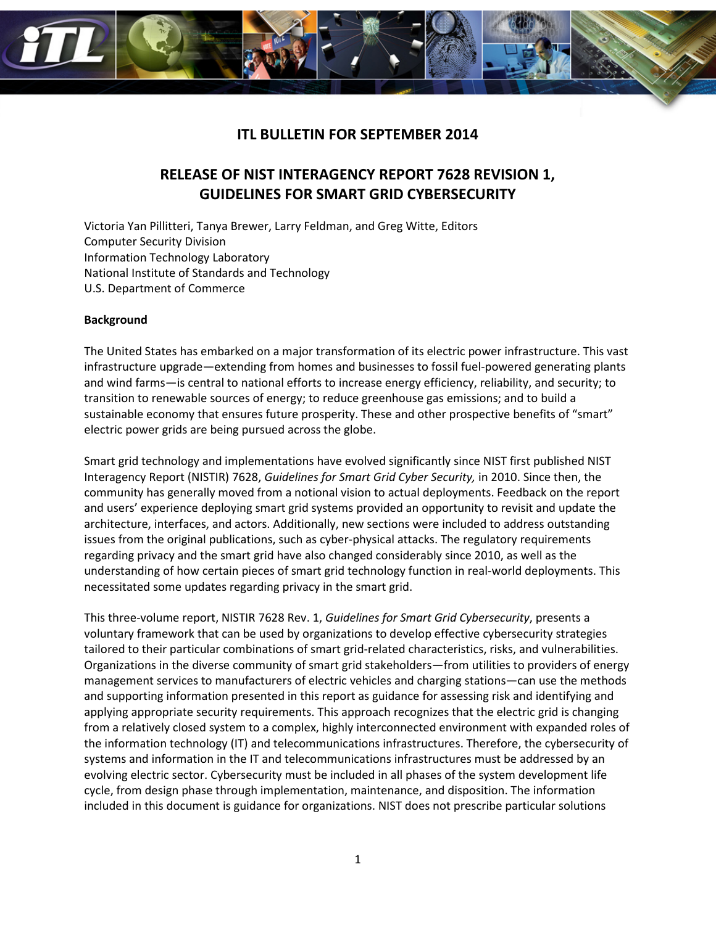

# **ITL BULLETIN FOR SEPTEMBER 2014**

# **RELEASE OF NIST INTERAGENCY REPORT 7628 REVISION 1, GUIDELINES FOR SMART GRID CYBERSECURITY**

Victoria Yan Pillitteri, Tanya Brewer, Larry Feldman, and Greg Witte, Editors Computer Security Division Information Technology Laboratory National Institute of Standards and Technology U.S. Department of Commerce

## **Background**

The United States has embarked on a major transformation of its electric power infrastructure. This vast infrastructure upgrade—extending from homes and businesses to fossil fuel-powered generating plants and wind farms—is central to national efforts to increase energy efficiency, reliability, and security; to transition to renewable sources of energy; to reduce greenhouse gas emissions; and to build a sustainable economy that ensures future prosperity. These and other prospective benefits of "smart" electric power grids are being pursued across the globe.

Smart grid technology and implementations have evolved significantly since NIST first published NIST Interagency Report (NISTIR) 7628, *Guidelines for Smart Grid Cyber Security,* in 2010. Since then, the community has generally moved from a notional vision to actual deployments. Feedback on the report and users' experience deploying smart grid systems provided an opportunity to revisit and update the architecture, interfaces, and actors. Additionally, new sections were included to address outstanding issues from the original publications, such as cyber-physical attacks. The regulatory requirements regarding privacy and the smart grid have also changed considerably since 2010, as well as the understanding of how certain pieces of smart grid technology function in real-world deployments. This necessitated some updates regarding privacy in the smart grid.

This three-volume report, NISTIR 7628 Rev. 1, *Guidelines for Smart Grid Cybersecurity*, presents a voluntary framework that can be used by organizations to develop effective cybersecurity strategies tailored to their particular combinations of smart grid-related characteristics, risks, and vulnerabilities. Organizations in the diverse community of smart grid stakeholders—from utilities to providers of energy management services to manufacturers of electric vehicles and charging stations—can use the methods and supporting information presented in this report as guidance for assessing risk and identifying and applying appropriate security requirements. This approach recognizes that the electric grid is changing from a relatively closed system to a complex, highly interconnected environment with expanded roles of the information technology (IT) and telecommunications infrastructures. Therefore, the cybersecurity of systems and information in the IT and telecommunications infrastructures must be addressed by an evolving electric sector. Cybersecurity must be included in all phases of the system development life cycle, from design phase through implementation, maintenance, and disposition. The information included in this document is guidance for organizations. NIST does not prescribe particular solutions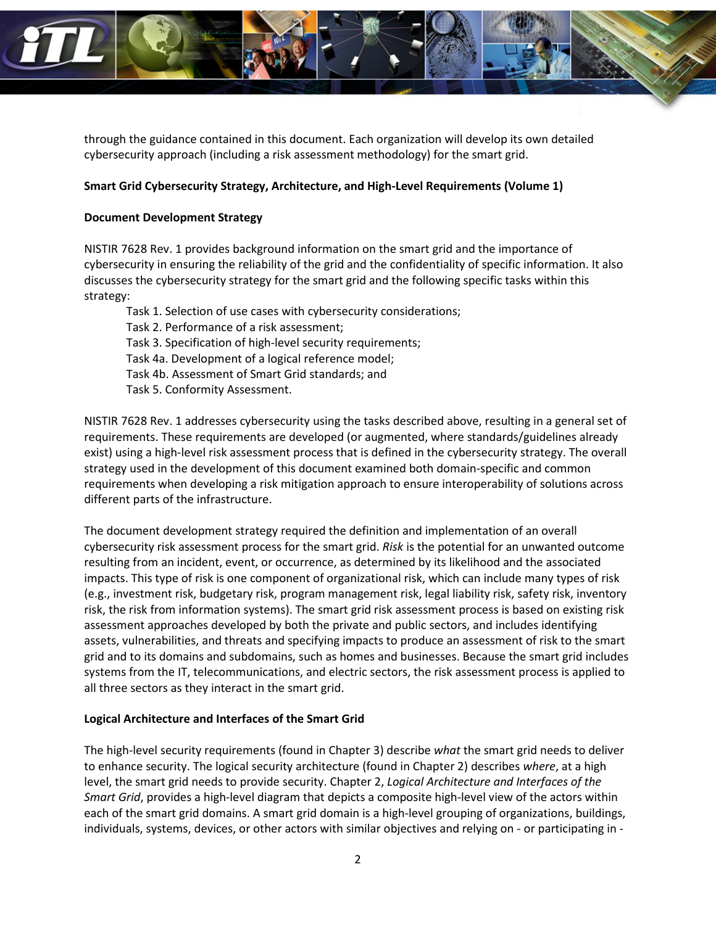

through the guidance contained in this document. Each organization will develop its own detailed cybersecurity approach (including a risk assessment methodology) for the smart grid.

## **Smart Grid Cybersecurity Strategy, Architecture, and High-Level Requirements (Volume 1)**

## **Document Development Strategy**

NISTIR 7628 Rev. 1 provides background information on the smart grid and the importance of cybersecurity in ensuring the reliability of the grid and the confidentiality of specific information. It also discusses the cybersecurity strategy for the smart grid and the following specific tasks within this strategy:

Task 1. Selection of use cases with cybersecurity considerations; Task 2. Performance of a risk assessment; Task 3. Specification of high-level security requirements; Task 4a. Development of a logical reference model; Task 4b. Assessment of Smart Grid standards; and Task 5. Conformity Assessment.

NISTIR 7628 Rev. 1 addresses cybersecurity using the tasks described above, resulting in a general set of requirements. These requirements are developed (or augmented, where standards/guidelines already exist) using a high-level risk assessment process that is defined in the cybersecurity strategy. The overall strategy used in the development of this document examined both domain-specific and common requirements when developing a risk mitigation approach to ensure interoperability of solutions across different parts of the infrastructure.

The document development strategy required the definition and implementation of an overall cybersecurity risk assessment process for the smart grid. *Risk* is the potential for an unwanted outcome resulting from an incident, event, or occurrence, as determined by its likelihood and the associated impacts. This type of risk is one component of organizational risk, which can include many types of risk (e.g., investment risk, budgetary risk, program management risk, legal liability risk, safety risk, inventory risk, the risk from information systems). The smart grid risk assessment process is based on existing risk assessment approaches developed by both the private and public sectors, and includes identifying assets, vulnerabilities, and threats and specifying impacts to produce an assessment of risk to the smart grid and to its domains and subdomains, such as homes and businesses. Because the smart grid includes systems from the IT, telecommunications, and electric sectors, the risk assessment process is applied to all three sectors as they interact in the smart grid.

## **Logical Architecture and Interfaces of the Smart Grid**

The high-level security requirements (found in Chapter 3) describe *what* the smart grid needs to deliver to enhance security. The logical security architecture (found in Chapter 2) describes *where*, at a high level, the smart grid needs to provide security. Chapter 2, *Logical Architecture and Interfaces of the Smart Grid*, provides a high-level diagram that depicts a composite high-level view of the actors within each of the smart grid domains. A smart grid domain is a high-level grouping of organizations, buildings, individuals, systems, devices, or other actors with similar objectives and relying on - or participating in -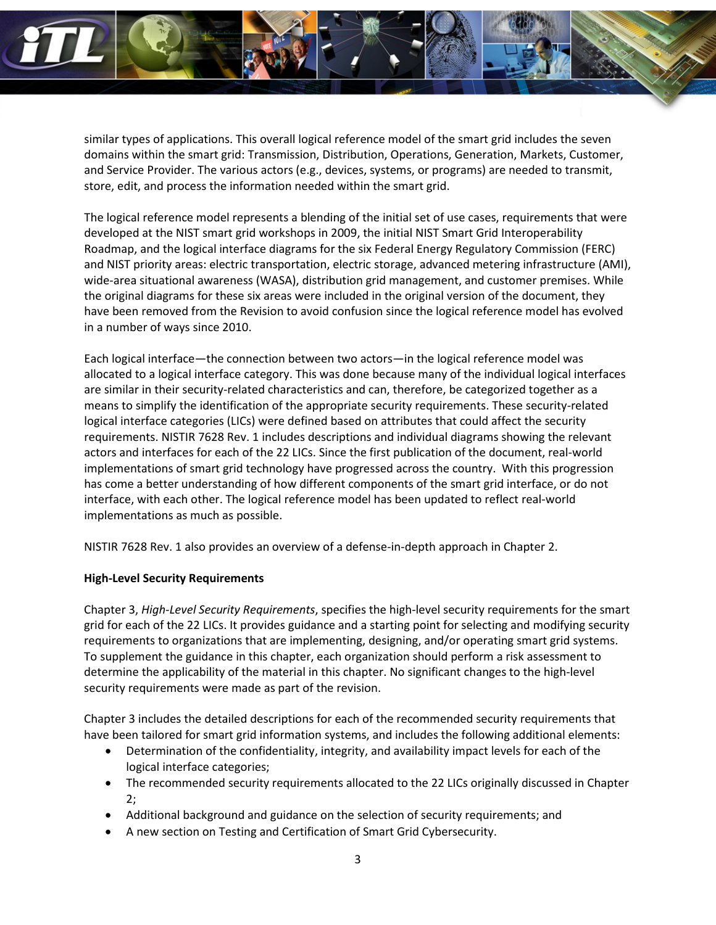

similar types of applications. This overall logical reference model of the smart grid includes the seven domains within the smart grid: Transmission, Distribution, Operations, Generation, Markets, Customer, and Service Provider. The various actors (e.g., devices, systems, or programs) are needed to transmit, store, edit, and process the information needed within the smart grid.

The logical reference model represents a blending of the initial set of use cases, requirements that were developed at the NIST smart grid workshops in 2009, the initial NIST Smart Grid Interoperability Roadmap, and the logical interface diagrams for the six Federal Energy Regulatory Commission (FERC) and NIST priority areas: electric transportation, electric storage, advanced metering infrastructure (AMI), wide-area situational awareness (WASA), distribution grid management, and customer premises. While the original diagrams for these six areas were included in the original version of the document, they have been removed from the Revision to avoid confusion since the logical reference model has evolved in a number of ways since 2010.

Each logical interface—the connection between two actors—in the logical reference model was allocated to a logical interface category. This was done because many of the individual logical interfaces are similar in their security-related characteristics and can, therefore, be categorized together as a means to simplify the identification of the appropriate security requirements. These security-related logical interface categories (LICs) were defined based on attributes that could affect the security requirements. NISTIR 7628 Rev. 1 includes descriptions and individual diagrams showing the relevant actors and interfaces for each of the 22 LICs. Since the first publication of the document, real-world implementations of smart grid technology have progressed across the country. With this progression has come a better understanding of how different components of the smart grid interface, or do not interface, with each other. The logical reference model has been updated to reflect real-world implementations as much as possible.

NISTIR 7628 Rev. 1 also provides an overview of a defense-in-depth approach in Chapter 2.

## **High-Level Security Requirements**

Chapter 3, *High-Level Security Requirements*, specifies the high-level security requirements for the smart grid for each of the 22 LICs. It provides guidance and a starting point for selecting and modifying security requirements to organizations that are implementing, designing, and/or operating smart grid systems. To supplement the guidance in this chapter, each organization should perform a risk assessment to determine the applicability of the material in this chapter. No significant changes to the high-level security requirements were made as part of the revision.

Chapter 3 includes the detailed descriptions for each of the recommended security requirements that have been tailored for smart grid information systems, and includes the following additional elements:

- Determination of the confidentiality, integrity, and availability impact levels for each of the logical interface categories;
- The recommended security requirements allocated to the 22 LICs originally discussed in Chapter 2;
- Additional background and guidance on the selection of security requirements; and
- A new section on Testing and Certification of Smart Grid Cybersecurity.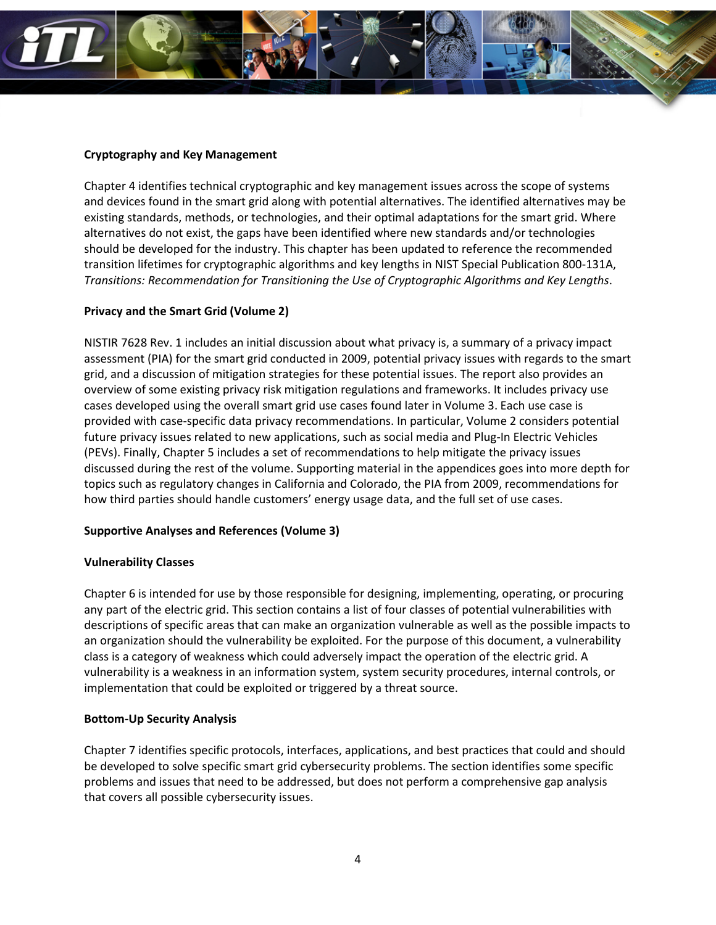

## **Cryptography and Key Management**

Chapter 4 identifies technical cryptographic and key management issues across the scope of systems and devices found in the smart grid along with potential alternatives. The identified alternatives may be existing standards, methods, or technologies, and their optimal adaptations for the smart grid. Where alternatives do not exist, the gaps have been identified where new standards and/or technologies should be developed for the industry. This chapter has been updated to reference the recommended transition lifetimes for cryptographic algorithms and key lengths in NIST Special Publication 800-131A, *Transitions: Recommendation for Transitioning the Use of Cryptographic Algorithms and Key Lengths*.

## **Privacy and the Smart Grid (Volume 2)**

NISTIR 7628 Rev. 1 includes an initial discussion about what privacy is, a summary of a privacy impact assessment (PIA) for the smart grid conducted in 2009, potential privacy issues with regards to the smart grid, and a discussion of mitigation strategies for these potential issues. The report also provides an overview of some existing privacy risk mitigation regulations and frameworks. It includes privacy use cases developed using the overall smart grid use cases found later in Volume 3. Each use case is provided with case-specific data privacy recommendations. In particular, Volume 2 considers potential future privacy issues related to new applications, such as social media and Plug-In Electric Vehicles (PEVs). Finally, Chapter 5 includes a set of recommendations to help mitigate the privacy issues discussed during the rest of the volume. Supporting material in the appendices goes into more depth for topics such as regulatory changes in California and Colorado, the PIA from 2009, recommendations for how third parties should handle customers' energy usage data, and the full set of use cases.

#### **Supportive Analyses and References (Volume 3)**

#### **Vulnerability Classes**

Chapter 6 is intended for use by those responsible for designing, implementing, operating, or procuring any part of the electric grid. This section contains a list of four classes of potential vulnerabilities with descriptions of specific areas that can make an organization vulnerable as well as the possible impacts to an organization should the vulnerability be exploited. For the purpose of this document, a vulnerability class is a category of weakness which could adversely impact the operation of the electric grid. A vulnerability is a weakness in an information system, system security procedures, internal controls, or implementation that could be exploited or triggered by a threat source.

## **Bottom-Up Security Analysis**

Chapter 7 identifies specific protocols, interfaces, applications, and best practices that could and should be developed to solve specific smart grid cybersecurity problems. The section identifies some specific problems and issues that need to be addressed, but does not perform a comprehensive gap analysis that covers all possible cybersecurity issues.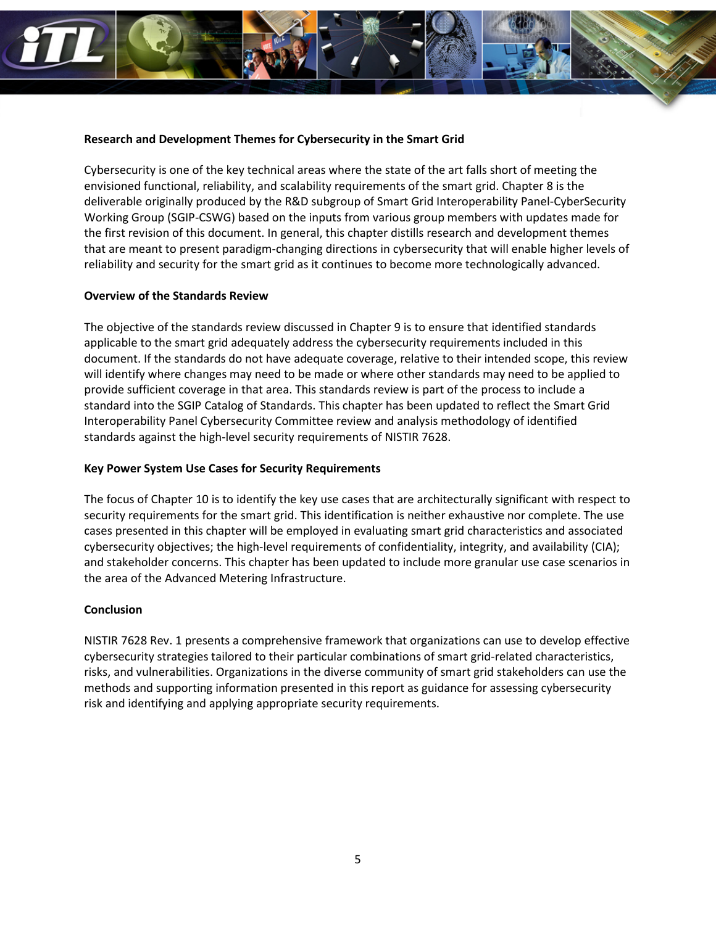

#### **Research and Development Themes for Cybersecurity in the Smart Grid**

Cybersecurity is one of the key technical areas where the state of the art falls short of meeting the envisioned functional, reliability, and scalability requirements of the smart grid. Chapter 8 is the deliverable originally produced by the R&D subgroup of Smart Grid Interoperability Panel-CyberSecurity Working Group (SGIP-CSWG) based on the inputs from various group members with updates made for the first revision of this document. In general, this chapter distills research and development themes that are meant to present paradigm-changing directions in cybersecurity that will enable higher levels of reliability and security for the smart grid as it continues to become more technologically advanced.

## **Overview of the Standards Review**

The objective of the standards review discussed in Chapter 9 is to ensure that identified standards applicable to the smart grid adequately address the cybersecurity requirements included in this document. If the standards do not have adequate coverage, relative to their intended scope, this review will identify where changes may need to be made or where other standards may need to be applied to provide sufficient coverage in that area. This standards review is part of the process to include a standard into the SGIP Catalog of Standards. This chapter has been updated to reflect the Smart Grid Interoperability Panel Cybersecurity Committee review and analysis methodology of identified standards against the high-level security requirements of NISTIR 7628.

#### **Key Power System Use Cases for Security Requirements**

The focus of Chapter 10 is to identify the key use cases that are architecturally significant with respect to security requirements for the smart grid. This identification is neither exhaustive nor complete. The use cases presented in this chapter will be employed in evaluating smart grid characteristics and associated cybersecurity objectives; the high-level requirements of confidentiality, integrity, and availability (CIA); and stakeholder concerns. This chapter has been updated to include more granular use case scenarios in the area of the Advanced Metering Infrastructure.

## **Conclusion**

NISTIR 7628 Rev. 1 presents a comprehensive framework that organizations can use to develop effective cybersecurity strategies tailored to their particular combinations of smart grid-related characteristics, risks, and vulnerabilities. Organizations in the diverse community of smart grid stakeholders can use the methods and supporting information presented in this report as guidance for assessing cybersecurity risk and identifying and applying appropriate security requirements.